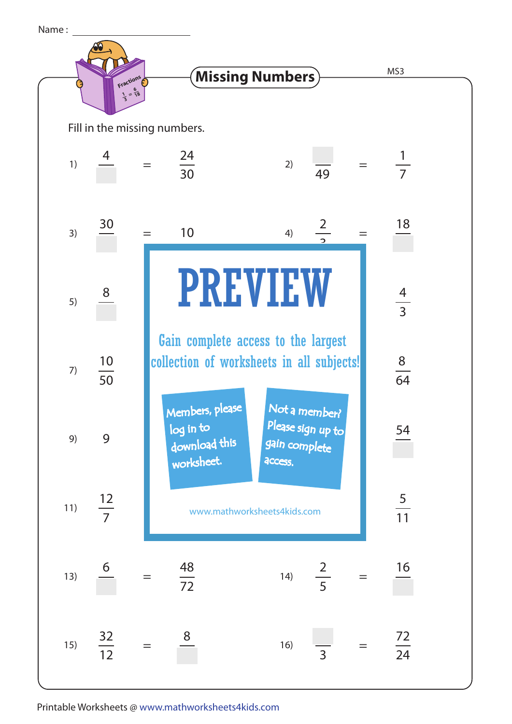